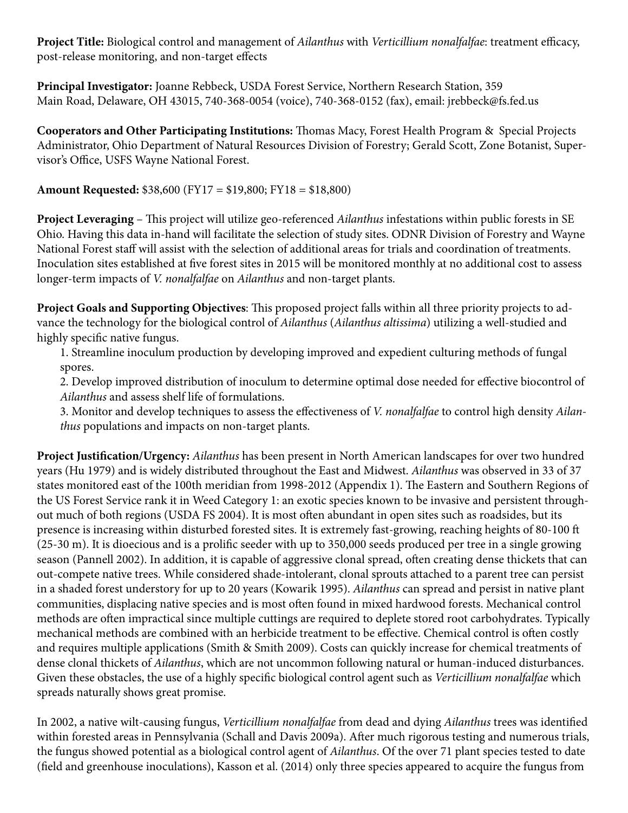**Project Title:** Biological control and management of *Ailanthus* with *Verticillium nonalfalfae*: treatment efficacy, post-release monitoring, and non-target effects

**Principal Investigator:** Joanne Rebbeck, USDA Forest Service, Northern Research Station, 359 Main Road, Delaware, OH 43015, 740-368-0054 (voice), 740-368-0152 (fax), email: jrebbeck@fs.fed.us

**Cooperators and Other Participating Institutions:** Thomas Macy, Forest Health Program & Special Projects Administrator, Ohio Department of Natural Resources Division of Forestry; Gerald Scott, Zone Botanist, Supervisor's Office, USFS Wayne National Forest.

**Amount Requested:** \$38,600 (FY17 = \$19,800; FY18 = \$18,800)

**Project Leveraging** – This project will utilize geo-referenced *Ailanthus* infestations within public forests in SE Ohio. Having this data in-hand will facilitate the selection of study sites. ODNR Division of Forestry and Wayne National Forest staff will assist with the selection of additional areas for trials and coordination of treatments. Inoculation sites established at five forest sites in 2015 will be monitored monthly at no additional cost to assess longer-term impacts of *V. nonalfalfae* on *Ailanthus* and non-target plants.

**Project Goals and Supporting Objectives**: This proposed project falls within all three priority projects to advance the technology for the biological control of *Ailanthus* (*Ailanthus altissima*) utilizing a well-studied and highly specific native fungus.

1. Streamline inoculum production by developing improved and expedient culturing methods of fungal spores.

2. Develop improved distribution of inoculum to determine optimal dose needed for effective biocontrol of *Ailanthus* and assess shelf life of formulations.

3. Monitor and develop techniques to assess the effectiveness of *V. nonalfalfae* to control high density *Ailanthus* populations and impacts on non-target plants.

**Project Justification/Urgency:** *Ailanthus* has been present in North American landscapes for over two hundred years (Hu 1979) and is widely distributed throughout the East and Midwest. *Ailanthus* was observed in 33 of 37 states monitored east of the 100th meridian from 1998-2012 (Appendix 1). The Eastern and Southern Regions of the US Forest Service rank it in Weed Category 1: an exotic species known to be invasive and persistent throughout much of both regions (USDA FS 2004). It is most often abundant in open sites such as roadsides, but its presence is increasing within disturbed forested sites. It is extremely fast-growing, reaching heights of 80-100 ft (25-30 m). It is dioecious and is a prolific seeder with up to 350,000 seeds produced per tree in a single growing season (Pannell 2002). In addition, it is capable of aggressive clonal spread, often creating dense thickets that can out-compete native trees. While considered shade-intolerant, clonal sprouts attached to a parent tree can persist in a shaded forest understory for up to 20 years (Kowarik 1995). *Ailanthus* can spread and persist in native plant communities, displacing native species and is most often found in mixed hardwood forests. Mechanical control methods are often impractical since multiple cuttings are required to deplete stored root carbohydrates. Typically mechanical methods are combined with an herbicide treatment to be effective. Chemical control is often costly and requires multiple applications (Smith & Smith 2009). Costs can quickly increase for chemical treatments of dense clonal thickets of *Ailanthus*, which are not uncommon following natural or human-induced disturbances. Given these obstacles, the use of a highly specific biological control agent such as *Verticillium nonalfalfae* which spreads naturally shows great promise.

In 2002, a native wilt-causing fungus, *Verticillium nonalfalfae* from dead and dying *Ailanthus* trees was identified within forested areas in Pennsylvania (Schall and Davis 2009a). After much rigorous testing and numerous trials, the fungus showed potential as a biological control agent of *Ailanthus*. Of the over 71 plant species tested to date (field and greenhouse inoculations), Kasson et al. (2014) only three species appeared to acquire the fungus from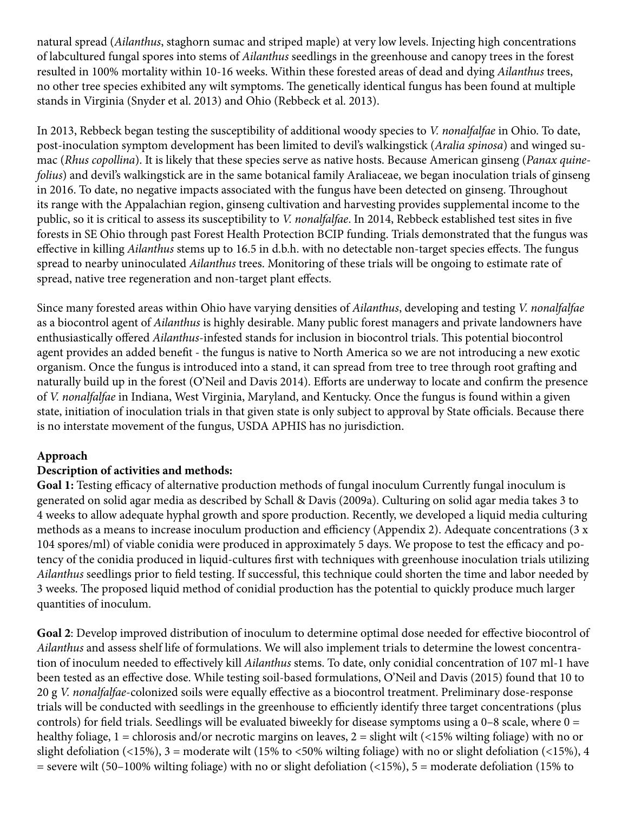natural spread (*Ailanthus*, staghorn sumac and striped maple) at very low levels. Injecting high concentrations of labcultured fungal spores into stems of *Ailanthus* seedlings in the greenhouse and canopy trees in the forest resulted in 100% mortality within 10-16 weeks. Within these forested areas of dead and dying *Ailanthus* trees, no other tree species exhibited any wilt symptoms. The genetically identical fungus has been found at multiple stands in Virginia (Snyder et al. 2013) and Ohio (Rebbeck et al. 2013).

In 2013, Rebbeck began testing the susceptibility of additional woody species to *V. nonalfalfae* in Ohio. To date, post-inoculation symptom development has been limited to devil's walkingstick (*Aralia spinosa*) and winged sumac (*Rhus copollina*). It is likely that these species serve as native hosts. Because American ginseng (*Panax quinefolius*) and devil's walkingstick are in the same botanical family Araliaceae, we began inoculation trials of ginseng in 2016. To date, no negative impacts associated with the fungus have been detected on ginseng. Throughout its range with the Appalachian region, ginseng cultivation and harvesting provides supplemental income to the public, so it is critical to assess its susceptibility to *V. nonalfalfae*. In 2014, Rebbeck established test sites in five forests in SE Ohio through past Forest Health Protection BCIP funding. Trials demonstrated that the fungus was effective in killing *Ailanthus* stems up to 16.5 in d.b.h. with no detectable non-target species effects. The fungus spread to nearby uninoculated *Ailanthus* trees. Monitoring of these trials will be ongoing to estimate rate of spread, native tree regeneration and non-target plant effects.

Since many forested areas within Ohio have varying densities of *Ailanthus*, developing and testing *V. nonalfalfae* as a biocontrol agent of *Ailanthus* is highly desirable. Many public forest managers and private landowners have enthusiastically offered *Ailanthus*-infested stands for inclusion in biocontrol trials. This potential biocontrol agent provides an added benefit - the fungus is native to North America so we are not introducing a new exotic organism. Once the fungus is introduced into a stand, it can spread from tree to tree through root grafting and naturally build up in the forest (O'Neil and Davis 2014). Efforts are underway to locate and confirm the presence of *V. nonalfalfae* in Indiana, West Virginia, Maryland, and Kentucky. Once the fungus is found within a given state, initiation of inoculation trials in that given state is only subject to approval by State officials. Because there is no interstate movement of the fungus, USDA APHIS has no jurisdiction.

# **Approach**

#### **Description of activities and methods:**

**Goal 1:** Testing efficacy of alternative production methods of fungal inoculum Currently fungal inoculum is generated on solid agar media as described by Schall & Davis (2009a). Culturing on solid agar media takes 3 to 4 weeks to allow adequate hyphal growth and spore production. Recently, we developed a liquid media culturing methods as a means to increase inoculum production and efficiency (Appendix 2). Adequate concentrations (3 x 104 spores/ml) of viable conidia were produced in approximately 5 days. We propose to test the efficacy and potency of the conidia produced in liquid-cultures first with techniques with greenhouse inoculation trials utilizing *Ailanthus* seedlings prior to field testing. If successful, this technique could shorten the time and labor needed by 3 weeks. The proposed liquid method of conidial production has the potential to quickly produce much larger quantities of inoculum.

**Goal 2**: Develop improved distribution of inoculum to determine optimal dose needed for effective biocontrol of *Ailanthus* and assess shelf life of formulations. We will also implement trials to determine the lowest concentration of inoculum needed to effectively kill *Ailanthus* stems. To date, only conidial concentration of 107 ml-1 have been tested as an effective dose. While testing soil-based formulations, O'Neil and Davis (2015) found that 10 to 20 g *V. nonalfalfae*-colonized soils were equally effective as a biocontrol treatment. Preliminary dose-response trials will be conducted with seedlings in the greenhouse to efficiently identify three target concentrations (plus controls) for field trials. Seedlings will be evaluated biweekly for disease symptoms using a 0–8 scale, where  $0 =$ healthy foliage,  $1 =$  chlorosis and/or necrotic margins on leaves,  $2 =$  slight wilt (<15% wilting foliage) with no or slight defoliation (<15%),  $3 =$  moderate wilt (15% to <50% wilting foliage) with no or slight defoliation (<15%), 4  $=$  severe wilt (50–100% wilting foliage) with no or slight defoliation (<15%), 5 = moderate defoliation (15% to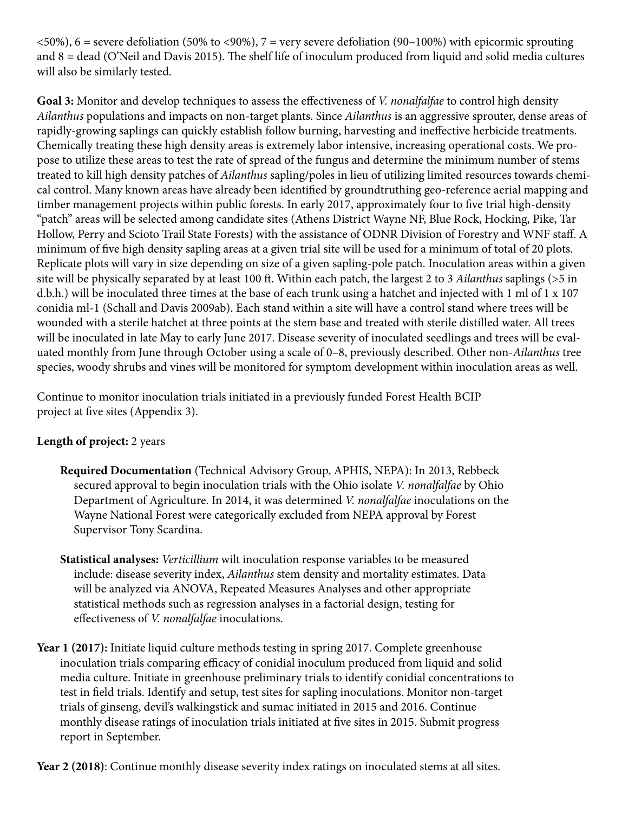$(50\%)$ , 6 = severe defoliation (50% to  $(90\%)$ , 7 = very severe defoliation (90–100%) with epicormic sprouting and 8 = dead (O'Neil and Davis 2015). The shelf life of inoculum produced from liquid and solid media cultures will also be similarly tested.

**Goal 3:** Monitor and develop techniques to assess the effectiveness of *V. nonalfalfae* to control high density *Ailanthus* populations and impacts on non-target plants. Since *Ailanthus* is an aggressive sprouter, dense areas of rapidly-growing saplings can quickly establish follow burning, harvesting and ineffective herbicide treatments. Chemically treating these high density areas is extremely labor intensive, increasing operational costs. We propose to utilize these areas to test the rate of spread of the fungus and determine the minimum number of stems treated to kill high density patches of *Ailanthus* sapling/poles in lieu of utilizing limited resources towards chemical control. Many known areas have already been identified by groundtruthing geo-reference aerial mapping and timber management projects within public forests. In early 2017, approximately four to five trial high-density "patch" areas will be selected among candidate sites (Athens District Wayne NF, Blue Rock, Hocking, Pike, Tar Hollow, Perry and Scioto Trail State Forests) with the assistance of ODNR Division of Forestry and WNF staff. A minimum of five high density sapling areas at a given trial site will be used for a minimum of total of 20 plots. Replicate plots will vary in size depending on size of a given sapling-pole patch. Inoculation areas within a given site will be physically separated by at least 100 ft. Within each patch, the largest 2 to 3 *Ailanthus* saplings (>5 in d.b.h.) will be inoculated three times at the base of each trunk using a hatchet and injected with 1 ml of 1 x 107 conidia ml-1 (Schall and Davis 2009ab). Each stand within a site will have a control stand where trees will be wounded with a sterile hatchet at three points at the stem base and treated with sterile distilled water. All trees will be inoculated in late May to early June 2017. Disease severity of inoculated seedlings and trees will be evaluated monthly from June through October using a scale of 0–8, previously described. Other non-*Ailanthus* tree species, woody shrubs and vines will be monitored for symptom development within inoculation areas as well.

Continue to monitor inoculation trials initiated in a previously funded Forest Health BCIP project at five sites (Appendix 3).

# **Length of project:** 2 years

- **Required Documentation** (Technical Advisory Group, APHIS, NEPA): In 2013, Rebbeck secured approval to begin inoculation trials with the Ohio isolate *V. nonalfalfae* by Ohio Department of Agriculture. In 2014, it was determined *V. nonalfalfae* inoculations on the Wayne National Forest were categorically excluded from NEPA approval by Forest Supervisor Tony Scardina.
- **Statistical analyses:** *Verticillium* wilt inoculation response variables to be measured include: disease severity index, *Ailanthus* stem density and mortality estimates. Data will be analyzed via ANOVA, Repeated Measures Analyses and other appropriate statistical methods such as regression analyses in a factorial design, testing for effectiveness of *V. nonalfalfae* inoculations.
- Year 1 (2017): Initiate liquid culture methods testing in spring 2017. Complete greenhouse inoculation trials comparing efficacy of conidial inoculum produced from liquid and solid media culture. Initiate in greenhouse preliminary trials to identify conidial concentrations to test in field trials. Identify and setup, test sites for sapling inoculations. Monitor non-target trials of ginseng, devil's walkingstick and sumac initiated in 2015 and 2016. Continue monthly disease ratings of inoculation trials initiated at five sites in 2015. Submit progress report in September.

**Year 2 (2018)**: Continue monthly disease severity index ratings on inoculated stems at all sites.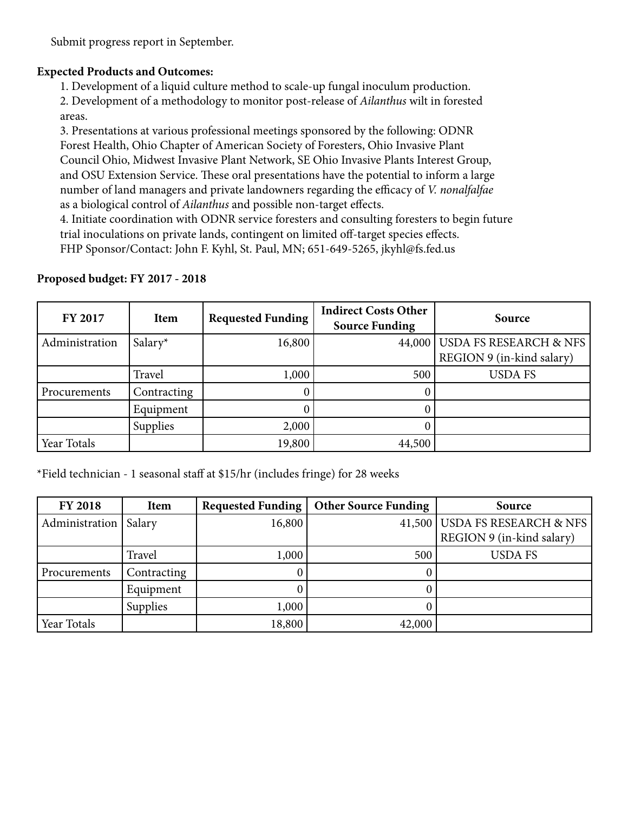Submit progress report in September.

#### **Expected Products and Outcomes:**

1. Development of a liquid culture method to scale-up fungal inoculum production.

2. Development of a methodology to monitor post-release of *Ailanthus* wilt in forested areas.

3. Presentations at various professional meetings sponsored by the following: ODNR Forest Health, Ohio Chapter of American Society of Foresters, Ohio Invasive Plant Council Ohio, Midwest Invasive Plant Network, SE Ohio Invasive Plants Interest Group, and OSU Extension Service. These oral presentations have the potential to inform a large number of land managers and private landowners regarding the efficacy of *V. nonalfalfae* as a biological control of *Ailanthus* and possible non-target effects.

4. Initiate coordination with ODNR service foresters and consulting foresters to begin future trial inoculations on private lands, contingent on limited off-target species effects. FHP Sponsor/Contact: John F. Kyhl, St. Paul, MN; 651-649-5265, jkyhl@fs.fed.us

| Proposed budget: FY 2017 - 2018 |  |  |  |
|---------------------------------|--|--|--|
|---------------------------------|--|--|--|

| <b>FY 2017</b> | Item        | <b>Requested Funding</b> | <b>Indirect Costs Other</b><br><b>Source Funding</b> | Source                        |
|----------------|-------------|--------------------------|------------------------------------------------------|-------------------------------|
| Administration | Salary*     | 16,800                   |                                                      | 44,000 USDA FS RESEARCH & NFS |
|                |             |                          |                                                      | REGION 9 (in-kind salary)     |
|                | Travel      | 1,000                    | 500                                                  | <b>USDA FS</b>                |
| Procurements   | Contracting |                          |                                                      |                               |
|                | Equipment   |                          |                                                      |                               |
|                | Supplies    | 2,000                    |                                                      |                               |
| Year Totals    |             | 19,800                   | 44,500                                               |                               |

\*Field technician - 1 seasonal staff at \$15/hr (includes fringe) for 28 weeks

| <b>FY 2018</b> | <b>Item</b>     | <b>Requested Funding</b> | <b>Other Source Funding</b> | Source                        |
|----------------|-----------------|--------------------------|-----------------------------|-------------------------------|
| Administration | Salary          | 16,800                   |                             | 41,500 USDA FS RESEARCH & NFS |
|                |                 |                          |                             | REGION 9 (in-kind salary)     |
|                | Travel          | 1,000                    | 500                         | <b>USDA FS</b>                |
| Procurements   | Contracting     |                          |                             |                               |
|                | Equipment       |                          |                             |                               |
|                | <b>Supplies</b> | 1,000                    |                             |                               |
| Year Totals    |                 | 18,800                   | 42,000                      |                               |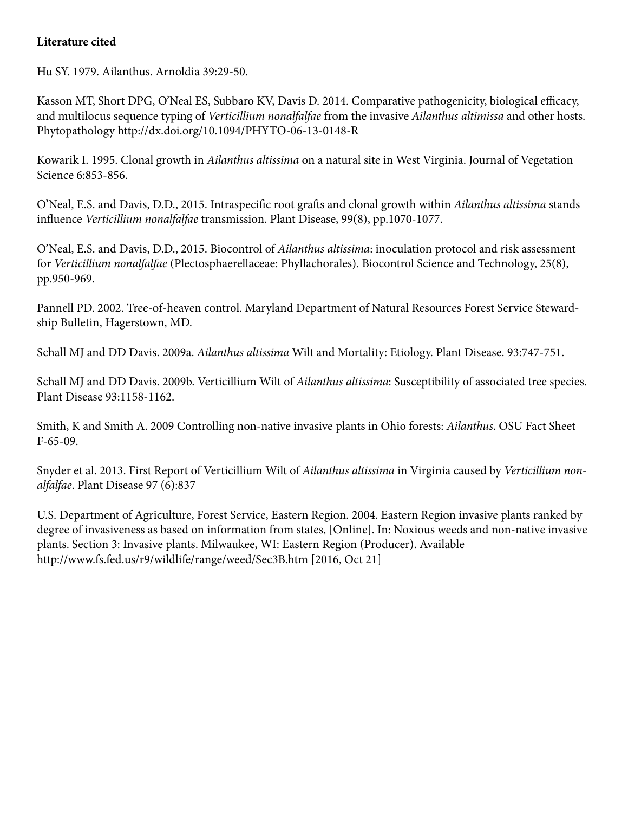### **Literature cited**

Hu SY. 1979. Ailanthus. Arnoldia 39:29-50.

Kasson MT, Short DPG, O'Neal ES, Subbaro KV, Davis D. 2014. Comparative pathogenicity, biological efficacy, and multilocus sequence typing of *Verticillium nonalfalfae* from the invasive *Ailanthus altimissa* and other hosts. Phytopathology http://dx.doi.org/10.1094/PHYTO-06-13-0148-R

Kowarik I. 1995. Clonal growth in *Ailanthus altissima* on a natural site in West Virginia. Journal of Vegetation Science 6:853-856.

O'Neal, E.S. and Davis, D.D., 2015. Intraspecific root grafts and clonal growth within *Ailanthus altissima* stands influence *Verticillium nonalfalfae* transmission. Plant Disease, 99(8), pp.1070-1077.

O'Neal, E.S. and Davis, D.D., 2015. Biocontrol of *Ailanthus altissima*: inoculation protocol and risk assessment for *Verticillium nonalfalfae* (Plectosphaerellaceae: Phyllachorales). Biocontrol Science and Technology, 25(8), pp.950-969.

Pannell PD. 2002. Tree-of-heaven control. Maryland Department of Natural Resources Forest Service Stewardship Bulletin, Hagerstown, MD.

Schall MJ and DD Davis. 2009a. *Ailanthus altissima* Wilt and Mortality: Etiology. Plant Disease. 93:747-751.

Schall MJ and DD Davis. 2009b. Verticillium Wilt of *Ailanthus altissima*: Susceptibility of associated tree species. Plant Disease 93:1158-1162.

Smith, K and Smith A. 2009 Controlling non-native invasive plants in Ohio forests: *Ailanthus*. OSU Fact Sheet F-65-09.

Snyder et al. 2013. First Report of Verticillium Wilt of *Ailanthus altissima* in Virginia caused by *Verticillium nonalfalfae*. Plant Disease 97 (6):837

U.S. Department of Agriculture, Forest Service, Eastern Region. 2004. Eastern Region invasive plants ranked by degree of invasiveness as based on information from states, [Online]. In: Noxious weeds and non-native invasive plants. Section 3: Invasive plants. Milwaukee, WI: Eastern Region (Producer). Available http://www.fs.fed.us/r9/wildlife/range/weed/Sec3B.htm [2016, Oct 21]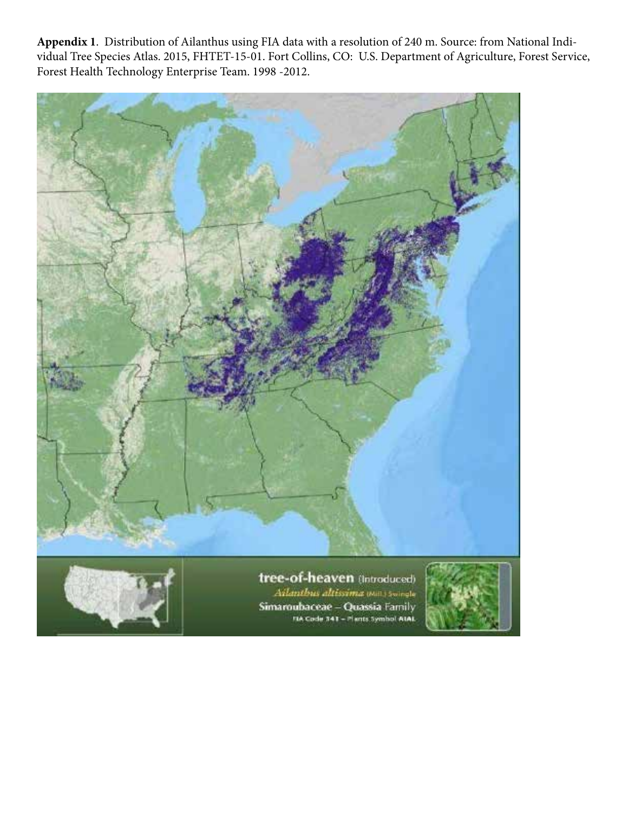**Appendix 1**. Distribution of Ailanthus using FIA data with a resolution of 240 m. Source: from National Individual Tree Species Atlas. 2015, FHTET-15-01. Fort Collins, CO: U.S. Department of Agriculture, Forest Service, Forest Health Technology Enterprise Team. 1998 -2012.



Ailanthus altissima wall) Swingle Simaroubaceae - Quassia Family FIA Code 341 - Plants Symbol AtAL

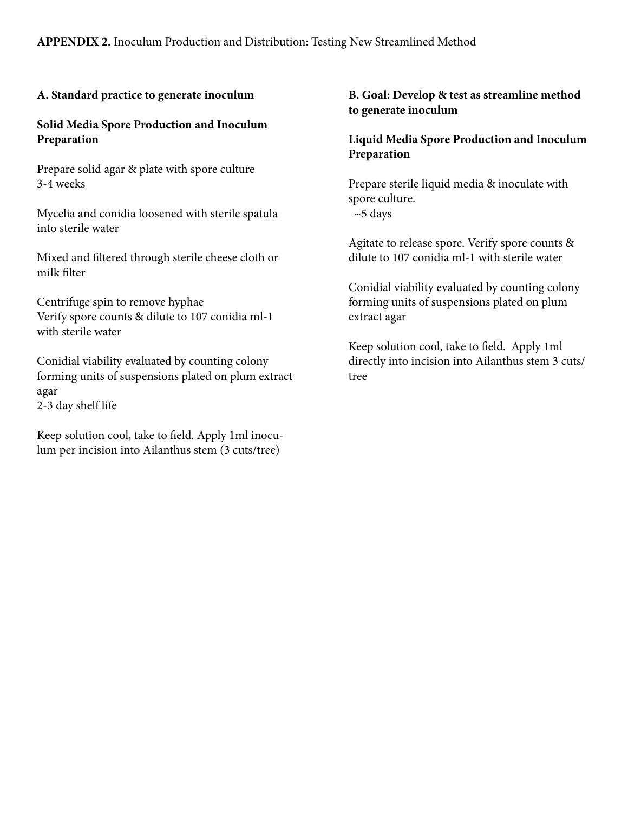## **A. Standard practice to generate inoculum**

#### **Solid Media Spore Production and Inoculum Preparation**

Prepare solid agar & plate with spore culture 3-4 weeks

Mycelia and conidia loosened with sterile spatula into sterile water

Mixed and filtered through sterile cheese cloth or milk filter

Centrifuge spin to remove hyphae Verify spore counts & dilute to 107 conidia ml-1 with sterile water

Conidial viability evaluated by counting colony forming units of suspensions plated on plum extract agar 2-3 day shelf life

Keep solution cool, take to field. Apply 1ml inoculum per incision into Ailanthus stem (3 cuts/tree)

### **B. Goal: Develop & test as streamline method to generate inoculum**

## **Liquid Media Spore Production and Inoculum Preparation**

Prepare sterile liquid media & inoculate with spore culture.  $~5$  days

Agitate to release spore. Verify spore counts & dilute to 107 conidia ml-1 with sterile water

Conidial viability evaluated by counting colony forming units of suspensions plated on plum extract agar

Keep solution cool, take to field. Apply 1ml directly into incision into Ailanthus stem 3 cuts/ tree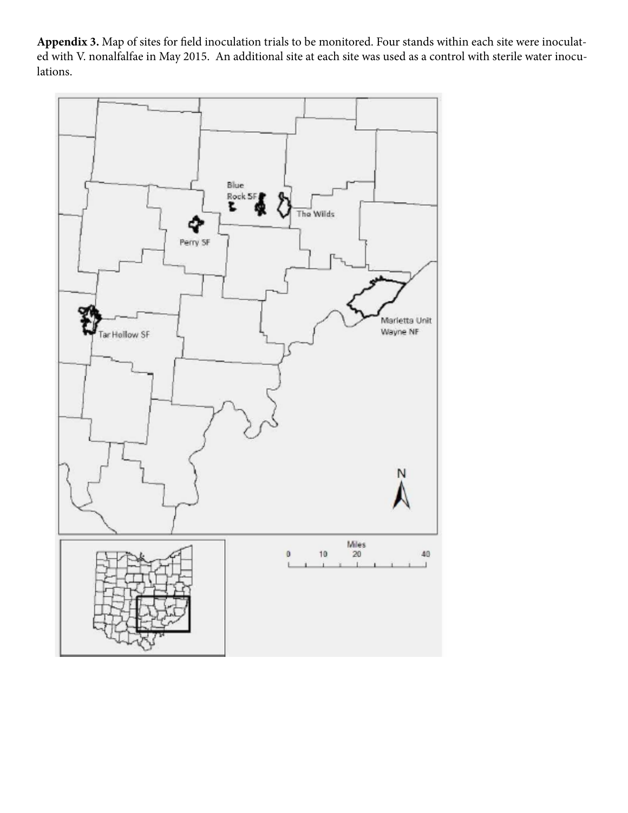**Appendix 3.** Map of sites for field inoculation trials to be monitored. Four stands within each site were inoculated with V. nonalfalfae in May 2015. An additional site at each site was used as a control with sterile water inoculations.